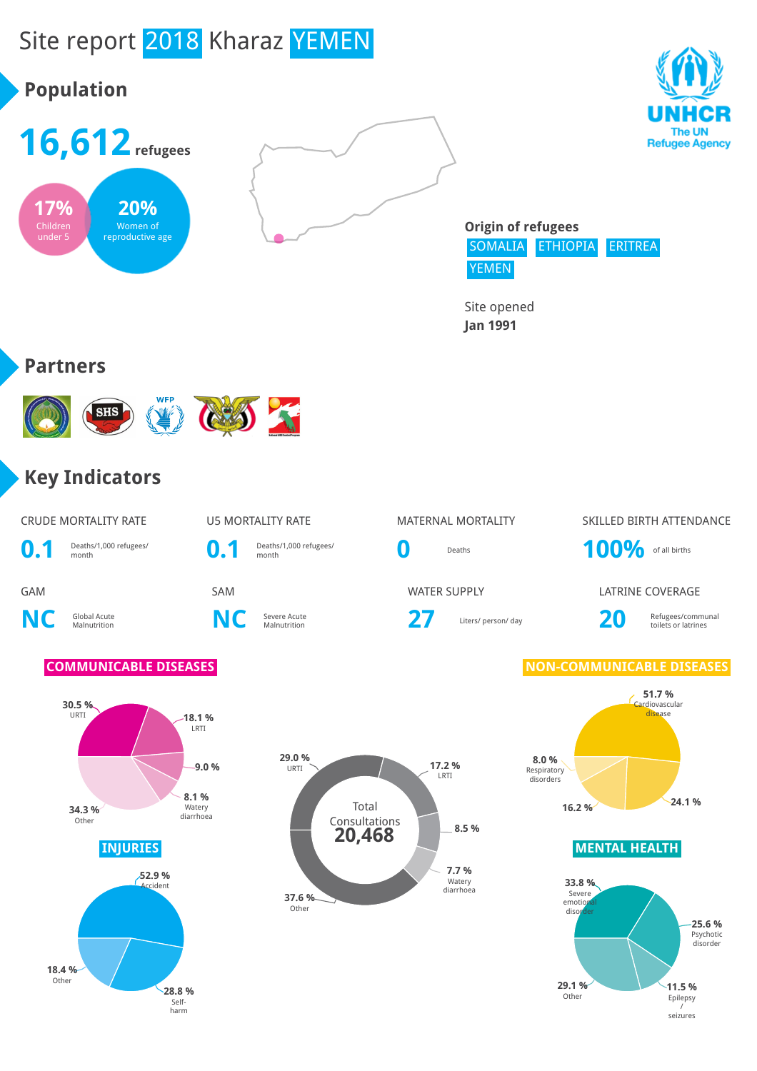

Total Consultations

**20,468**

**NC** Global Acute

**30.5 %**

Other

**18.4 %** Other

URTI **18.1 %** LRTI

**9.0 %**

**8.1 %** Watery

**34.3 %** Watery diarrhoea

**52.9 % Accident** 

> **28.8 %** Self-harm



**29.0 %**

**37.6 % Other** 

URTI **17.2 %** LRTI

**8.5 %**

**7.7 %** Watery diarrhoea

Severe Acute **27** Liters/ person/ day **20** Refugees/communal toilets or latrines

GAM SAM SAM WATER SUPPLY LATRINE COVERAGE

toilets or latrines

**COMMUNICABLE DISEASES NON-COMMUNICABLE DISEASES** 



**INJURIES MENTAL HEALTH**

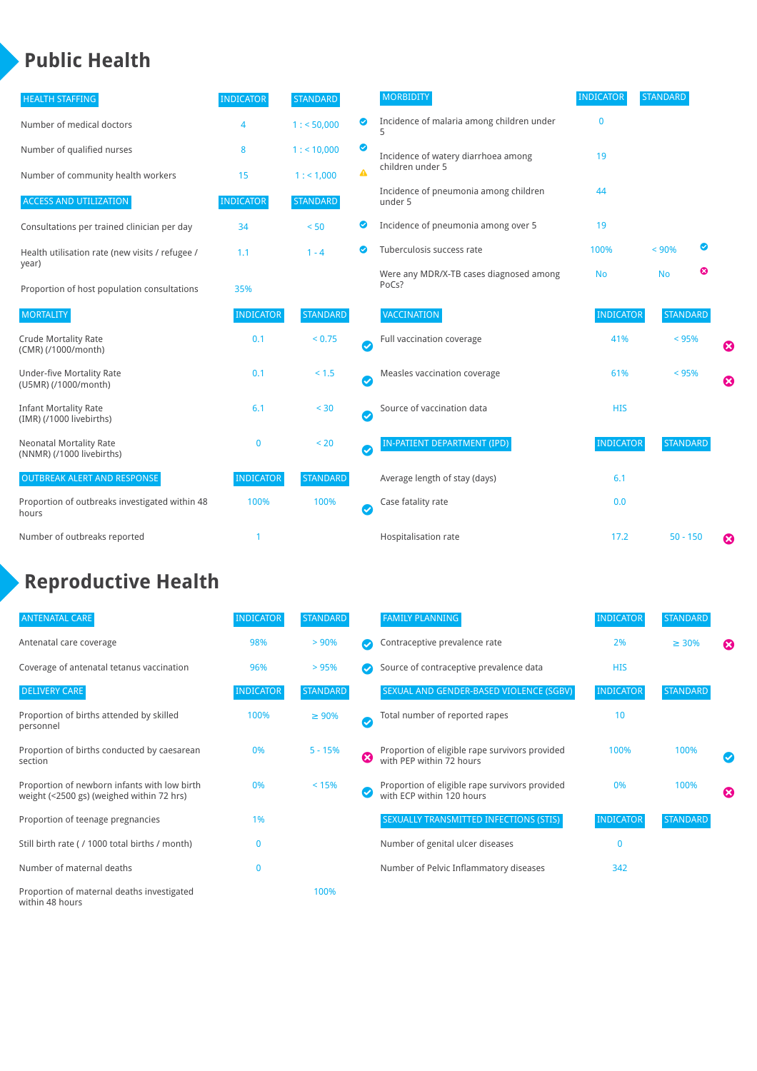# **Public Health**

| <b>HEALTH STAFFING</b>                                      | <b>INDICATOR</b> | <b>STANDARD</b> |                       | <b>MORBIDITY</b>                                 | <b>INDICATOR</b> | <b>STANDARD</b> |   |   |
|-------------------------------------------------------------|------------------|-----------------|-----------------------|--------------------------------------------------|------------------|-----------------|---|---|
| Number of medical doctors                                   | 4                | 1: 50,000       | ◉                     | Incidence of malaria among children under<br>5   | $\mathbf{0}$     |                 |   |   |
| Number of qualified nurses                                  | 8                | 1:10,000        | ◙                     | Incidence of watery diarrhoea among              | 19               |                 |   |   |
| Number of community health workers                          | 15               | 1: 1,000        | ▲                     | children under 5                                 |                  |                 |   |   |
| <b>ACCESS AND UTILIZATION</b>                               | <b>INDICATOR</b> | <b>STANDARD</b> |                       | Incidence of pneumonia among children<br>under 5 | 44               |                 |   |   |
| Consultations per trained clinician per day                 | 34               | < 50            | ◙                     | Incidence of pneumonia among over 5              | 19               |                 |   |   |
| Health utilisation rate (new visits / refugee /             | 1.1              | $1 - 4$         | $\bullet$             | Tuberculosis success rate                        | 100%             | < 90%           | ◙ |   |
| year)<br>Proportion of host population consultations        | 35%              |                 |                       | Were any MDR/X-TB cases diagnosed among<br>PoCs? | <b>No</b>        | <b>No</b>       | ೞ |   |
| <b>MORTALITY</b>                                            | <b>INDICATOR</b> | <b>STANDARD</b> |                       | <b>VACCINATION</b>                               | <b>INDICATOR</b> | <b>STANDARD</b> |   |   |
| <b>Crude Mortality Rate</b><br>(CMR) (/1000/month)          | 0.1              | < 0.75          | $\bullet$             | Full vaccination coverage                        | 41%              | < 95%           |   | Ø |
| <b>Under-five Mortality Rate</b><br>(U5MR) (/1000/month)    | 0.1              | < 1.5           | Ø                     | Measles vaccination coverage                     | 61%              | < 95%           |   | 0 |
| <b>Infant Mortality Rate</b><br>(IMR) (/1000 livebirths)    | 6.1              | < 30            | $\boldsymbol{\omega}$ | Source of vaccination data                       | <b>HIS</b>       |                 |   |   |
| <b>Neonatal Mortality Rate</b><br>(NNMR) (/1000 livebirths) | $\mathbf{0}$     | < 20            | $\bullet$             | <b>IN-PATIENT DEPARTMENT (IPD)</b>               | <b>INDICATOR</b> | <b>STANDARD</b> |   |   |
| <b>OUTBREAK ALERT AND RESPONSE</b>                          | <b>INDICATOR</b> | <b>STANDARD</b> |                       | Average length of stay (days)                    | 6.1              |                 |   |   |
| Proportion of outbreaks investigated within 48<br>hours     | 100%             | 100%            | Ø                     | Case fatality rate                               | 0.0              |                 |   |   |
| Number of outbreaks reported                                |                  |                 |                       | Hospitalisation rate                             | 17.2             | $50 - 150$      |   | Ø |

## **Reproductive Health**

| <b>ANTENATAL CARE</b>                                                                     | <b>INDICATOR</b> | <b>STANDARD</b> |              | <b>FAMILY PLANNING</b>                                                      | <b>INDICATOR</b> | <b>STANDARD</b> |   |
|-------------------------------------------------------------------------------------------|------------------|-----------------|--------------|-----------------------------------------------------------------------------|------------------|-----------------|---|
| Antenatal care coverage                                                                   | 98%              | $> 90\%$        |              | Contraceptive prevalence rate                                               | 2%               | $\geq 30\%$     | ☎ |
| Coverage of antenatal tetanus vaccination                                                 | 96%              | >95%            |              | Source of contraceptive prevalence data                                     | <b>HIS</b>       |                 |   |
| <b>DELIVERY CARE</b>                                                                      | <b>INDICATOR</b> | <b>STANDARD</b> |              | SEXUAL AND GENDER-BASED VIOLENCE (SGBV)                                     | <b>INDICATOR</b> | <b>STANDARD</b> |   |
| Proportion of births attended by skilled<br>personnel                                     | 100%             | $\geq 90\%$     | $\checkmark$ | Total number of reported rapes                                              | 10               |                 |   |
| Proportion of births conducted by caesarean<br>section                                    | 0%               | $5 - 15%$       | Ø            | Proportion of eligible rape survivors provided<br>with PEP within 72 hours  | 100%             | 100%            |   |
| Proportion of newborn infants with low birth<br>weight (<2500 gs) (weighed within 72 hrs) | 0%               | < 15%           |              | Proportion of eligible rape survivors provided<br>with ECP within 120 hours | 0%               | 100%            | ☎ |
| Proportion of teenage pregnancies                                                         | 1%               |                 |              | SEXUALLY TRANSMITTED INFECTIONS (STIS)                                      | <b>INDICATOR</b> | <b>STANDARD</b> |   |
| Still birth rate (/ 1000 total births / month)                                            | $\Omega$         |                 |              | Number of genital ulcer diseases                                            | $\Omega$         |                 |   |
| Number of maternal deaths                                                                 | $\mathbf{0}$     |                 |              | Number of Pelvic Inflammatory diseases                                      | 342              |                 |   |
| Proportion of maternal deaths investigated<br>within 48 hours                             |                  | 100%            |              |                                                                             |                  |                 |   |